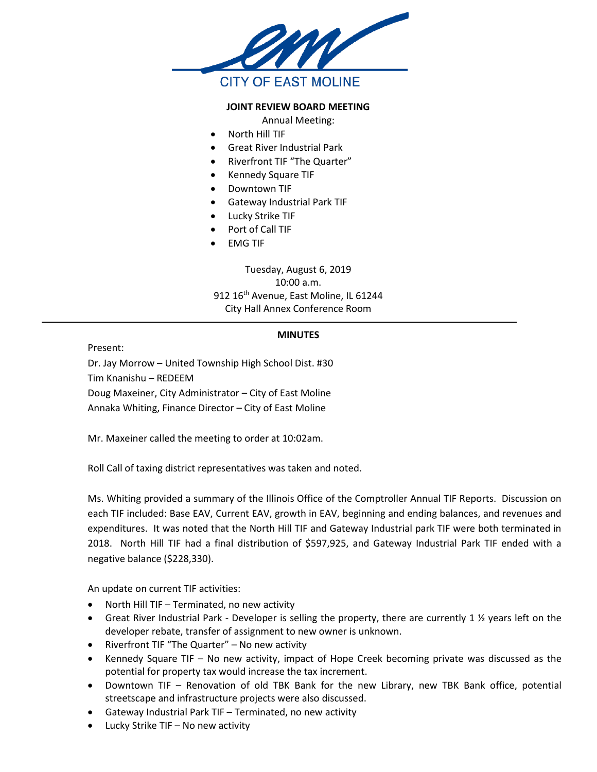

## **JOINT REVIEW BOARD MEETING**

Annual Meeting:

- North Hill TIF
- Great River Industrial Park
- Riverfront TIF "The Quarter"
- Kennedy Square TIF
- Downtown TIF
- Gateway Industrial Park TIF
- Lucky Strike TIF
- Port of Call TIF
- EMG TIF

Tuesday, August 6, 2019 10:00 a.m. 912 16<sup>th</sup> Avenue, East Moline, IL 61244 City Hall Annex Conference Room

## **MINUTES**

Present:

Dr. Jay Morrow – United Township High School Dist. #30 Tim Knanishu – REDEEM Doug Maxeiner, City Administrator – City of East Moline Annaka Whiting, Finance Director – City of East Moline

Mr. Maxeiner called the meeting to order at 10:02am.

Roll Call of taxing district representatives was taken and noted.

Ms. Whiting provided a summary of the Illinois Office of the Comptroller Annual TIF Reports. Discussion on each TIF included: Base EAV, Current EAV, growth in EAV, beginning and ending balances, and revenues and expenditures. It was noted that the North Hill TIF and Gateway Industrial park TIF were both terminated in 2018. North Hill TIF had a final distribution of \$597,925, and Gateway Industrial Park TIF ended with a negative balance (\$228,330).

An update on current TIF activities:

- North Hill TIF Terminated, no new activity
- Great River Industrial Park Developer is selling the property, there are currently 1 ½ years left on the developer rebate, transfer of assignment to new owner is unknown.
- Riverfront TIF "The Quarter" No new activity
- Kennedy Square TIF No new activity, impact of Hope Creek becoming private was discussed as the potential for property tax would increase the tax increment.
- Downtown TIF Renovation of old TBK Bank for the new Library, new TBK Bank office, potential streetscape and infrastructure projects were also discussed.
- Gateway Industrial Park TIF Terminated, no new activity
- Lucky Strike TIF No new activity